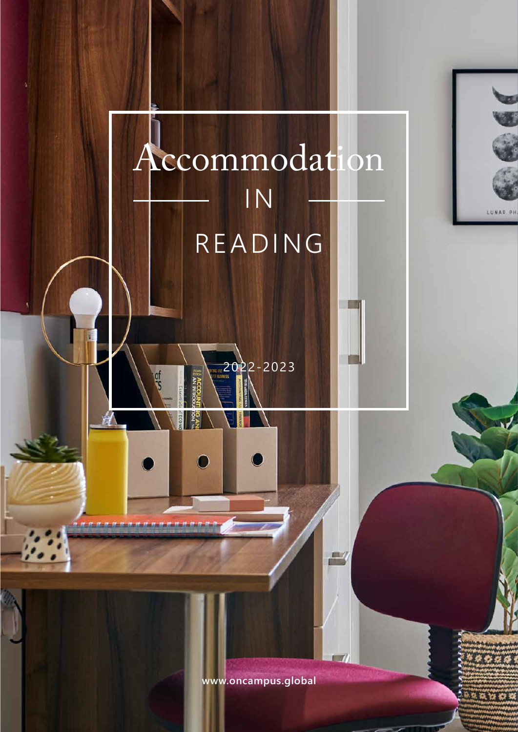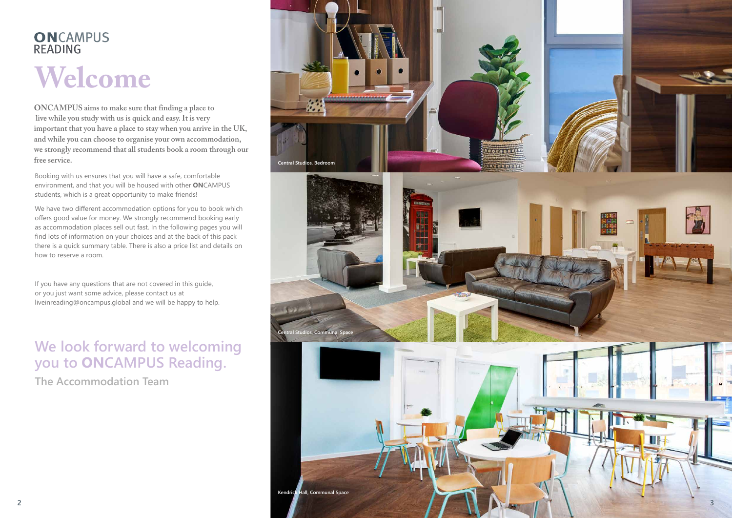# ONCAMPUS **READING**

# **Welcome**

# **We look forward to welcoming you to ONCAMPUS Reading.**

**The Accommodation Team**

Booking with us ensures that you will have a safe, comfortable environment, and that you will be housed with other **ON**CAMPUS students, which is a great opportunity to make friends!

We have two different accommodation options for you to book which offers good value for money. We strongly recommend booking early as accommodation places sell out fast. In the following pages you will find lots of information on your choices and at the back of this pack there is a quick summary table. There is also a price list and details on how to reserve a room.

If you have any questions that are not covered in this guide, or you just want some advice, please contact us at liveinreading@oncampus.global and we will be happy to help.

**ONCAMPUS aims to make sure that finding a place to live while you study with us is quick and easy. It is very important that you have a place to stay when you arrive in the UK, and while you can choose to organise your own accommodation, we strongly recommend that all students book a room through our free service.**

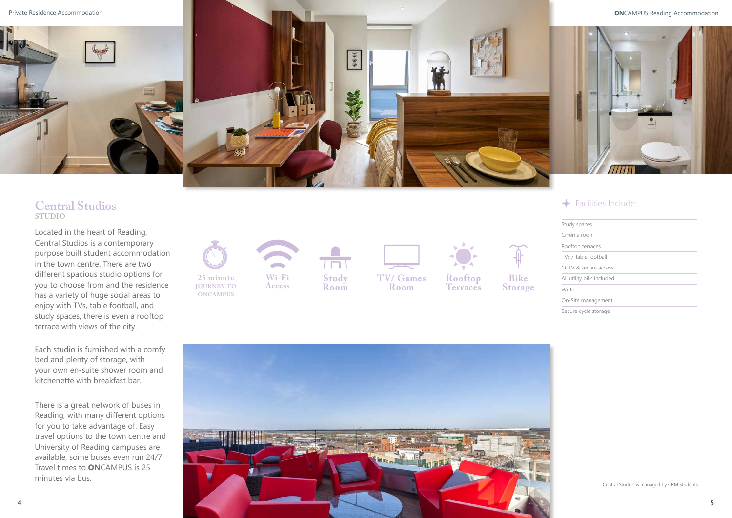Located in the heart of Reading, Central Studios is a contemporary purpose built student accommodation in the town centre. There are two different spacious studio options for you to choose from and the residence has a variety of huge social areas to enjoy with TVs, table football, and study spaces, there is even a rooftop terrace with views of the city.

Each studio is furnished with a comfy bed and plenty of storage, with your own en-suite shower room and kitchenette with breakfast bar.

There is a great network of buses in Reading, with many different options for you to take advantage of. Easy travel options to the town centre and University of Reading campuses are available, some buses even run 24/7. Travel times to **ON**CAMPUS is 25 minutes via bus.



| Study spaces               |  |
|----------------------------|--|
| Cinema room                |  |
| Rooftop terraces           |  |
| TVs / Table football       |  |
| CCTV & secure access       |  |
| All utility bills included |  |
| Wi-Fi                      |  |
| On-Site management         |  |
| Secure cycle storage       |  |



### **Central Studios STUDIO**



# ← Facilities Include: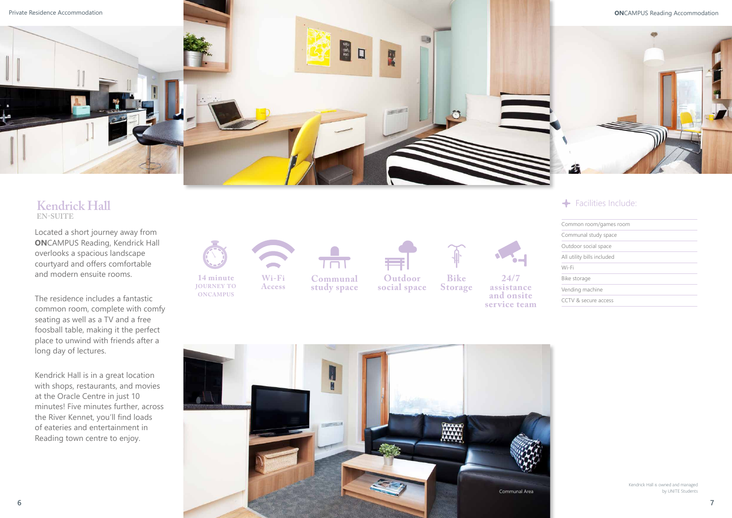Located a short journey away from **ON**CAMPUS Reading, Kendrick Hall overlooks a spacious landscape courtyard and offers comfortable and modern ensuite rooms.

The residence includes a fantastic common room, complete with comfy seating as well as a TV and a free foosball table, making it the perfect place to unwind with friends after a long day of lectures.

Kendrick Hall is in a great location with shops, restaurants, and movies at the Oracle Centre in just 10 minutes! Five minutes further, across the River Kennet, you'll find loads of eateries and entertainment in Reading town centre to enjoy.

**14 minute journey to oncampus**



**Access**

 $T \Box T$ 

**Communal study space**



Common room/games room Communal study space Outdoor social space All utility bills included Wi-Fi Bike storage Vending machine CCTV & secure access



**social space**



**Bike Storage**

**24/7 assistance and onsite service team**



# ← Facilities Include:

### **Kendrick Hall EN-SUITE**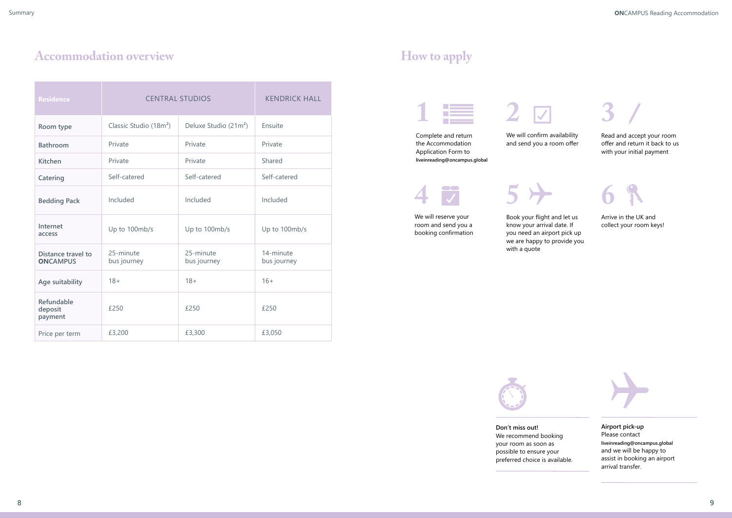# Accommodation overview **How to apply**

| <b>Residence</b>                             | <b>CENTRAL STUDIOS</b>             |                          | <b>KENDRICK HALL</b>     |
|----------------------------------------------|------------------------------------|--------------------------|--------------------------|
| Room type                                    | Classic Studio (18m <sup>2</sup> ) | Deluxe Studio $(21m^2)$  | Ensuite                  |
| <b>Bathroom</b>                              | Private                            | Private                  | Private                  |
| <b>Kitchen</b>                               | Private                            | Private                  | Shared                   |
| Catering                                     | Self-catered                       | Self-catered             | Self-catered             |
| <b>Bedding Pack</b>                          | Included                           | Included                 | Included                 |
| Internet<br>access                           | Up to 100mb/s                      | Up to 100mb/s            | Up to 100mb/s            |
| <b>Distance travel to</b><br><b>ONCAMPUS</b> | 25-minute<br>bus journey           | 25-minute<br>bus journey | 14-minute<br>bus journey |
| Age suitability                              | $18 +$                             | $18+$                    | $16+$                    |
| Refundable<br>deposit<br>payment             | £250                               | £250                     | £250                     |
| Price per term                               | £3,200                             | £3,300                   | £3,050                   |

Book your flight and let us know your arrival date. If you need an airport pick up

we are happy to provide you

with a quote



**5**

We will reserve your room and send you a booking confirmation We will confirm availability and send you a room offer



Complete and return the Accommodation Application Form to **liveinreading@oncampus.global**

 $\overline{\phantom{a}}$ **4**  $\overline{\checkmark}$ 



Arrive in the UK and collect your room keys!

**6**

**Airport pick-up** Please contact **liveinreading@oncampus.global** and we will be happy to assist in booking an airport arrival transfer.

**Don't miss out!** We recommend booking your room as soon as possible to ensure your preferred choice is available.

Read and accept your room offer and return it back to us with your initial payment